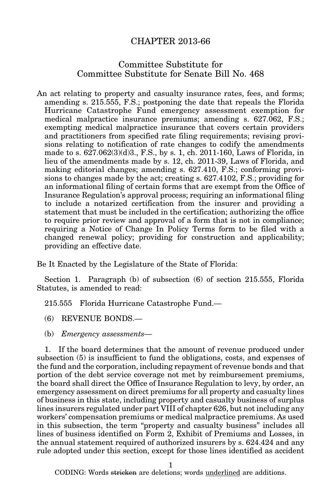## CHAPTER 2013-66

## Committee Substitute for Committee Substitute for Senate Bill No. 468

An act relating to property and casualty insurance rates, fees, and forms; amending s. 215.555, F.S.; postponing the date that repeals the Florida Hurricane Catastrophe Fund emergency assessment exemption for medical malpractice insurance premiums; amending s. 627.062, F.S.; exempting medical malpractice insurance that covers certain providers and practitioners from specified rate filing requirements; revising provisions relating to notification of rate changes to codify the amendments made to s. 627.062(3)(d)3., F.S., by s. 1, ch. 2011-160, Laws of Florida, in lieu of the amendments made by s. 12, ch. 2011-39, Laws of Florida, and making editorial changes; amending s. 627.410, F.S.; conforming provisions to changes made by the act; creating s. 627.4102, F.S.; providing for an informational filing of certain forms that are exempt from the Office of Insurance Regulation's approval process; requiring an informational filing to include a notarized certification from the insurer and providing a statement that must be included in the certification; authorizing the office to require prior review and approval of a form that is not in compliance; requiring a Notice of Change In Policy Terms form to be filed with a changed renewal policy; providing for construction and applicability; providing an effective date.

Be It Enacted by the Legislature of the State of Florida:

Section 1. Paragraph (b) of subsection (6) of section 215.555, Florida Statutes, is amended to read:

215.555 Florida Hurricane Catastrophe Fund.—

(6) REVENUE BONDS.—

(b) Emergency assessments—

1. If the board determines that the amount of revenue produced under subsection (5) is insufficient to fund the obligations, costs, and expenses of the fund and the corporation, including repayment of revenue bonds and that portion of the debt service coverage not met by reimbursement premiums, the board shall direct the Office of Insurance Regulation to levy, by order, an emergency assessment on direct premiums for all property and casualty lines of business in this state, including property and casualty business of surplus lines insurers regulated under part VIII of chapter 626, but not including any workers' compensation premiums or medical malpractice premiums. As used in this subsection, the term "property and casualty business" includes all lines of business identified on Form 2, Exhibit of Premiums and Losses, in the annual statement required of authorized insurers by s. 624.424 and any rule adopted under this section, except for those lines identified as accident

1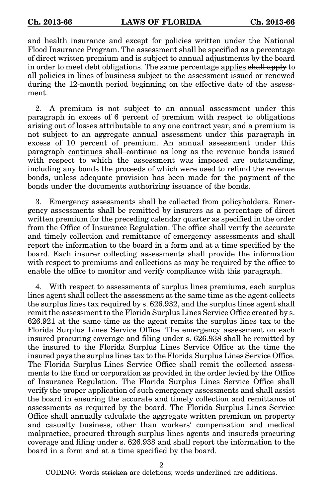and health insurance and except for policies written under the National Flood Insurance Program. The assessment shall be specified as a percentage of direct written premium and is subject to annual adjustments by the board in order to meet debt obligations. The same percentage applies shall apply to all policies in lines of business subject to the assessment issued or renewed during the 12-month period beginning on the effective date of the assessment.

2. A premium is not subject to an annual assessment under this paragraph in excess of 6 percent of premium with respect to obligations arising out of losses attributable to any one contract year, and a premium is not subject to an aggregate annual assessment under this paragraph in excess of 10 percent of premium. An annual assessment under this paragraph continues shall continue as long as the revenue bonds issued with respect to which the assessment was imposed are outstanding, including any bonds the proceeds of which were used to refund the revenue bonds, unless adequate provision has been made for the payment of the bonds under the documents authorizing issuance of the bonds.

3. Emergency assessments shall be collected from policyholders. Emergency assessments shall be remitted by insurers as a percentage of direct written premium for the preceding calendar quarter as specified in the order from the Office of Insurance Regulation. The office shall verify the accurate and timely collection and remittance of emergency assessments and shall report the information to the board in a form and at a time specified by the board. Each insurer collecting assessments shall provide the information with respect to premiums and collections as may be required by the office to enable the office to monitor and verify compliance with this paragraph.

4. With respect to assessments of surplus lines premiums, each surplus lines agent shall collect the assessment at the same time as the agent collects the surplus lines tax required by s. 626.932, and the surplus lines agent shall remit the assessment to the Florida Surplus Lines Service Office created by s. 626.921 at the same time as the agent remits the surplus lines tax to the Florida Surplus Lines Service Office. The emergency assessment on each insured procuring coverage and filing under s. 626.938 shall be remitted by the insured to the Florida Surplus Lines Service Office at the time the insured pays the surplus lines tax to the Florida Surplus Lines Service Office. The Florida Surplus Lines Service Office shall remit the collected assessments to the fund or corporation as provided in the order levied by the Office of Insurance Regulation. The Florida Surplus Lines Service Office shall verify the proper application of such emergency assessments and shall assist the board in ensuring the accurate and timely collection and remittance of assessments as required by the board. The Florida Surplus Lines Service Office shall annually calculate the aggregate written premium on property and casualty business, other than workers' compensation and medical malpractice, procured through surplus lines agents and insureds procuring coverage and filing under s. 626.938 and shall report the information to the board in a form and at a time specified by the board.

2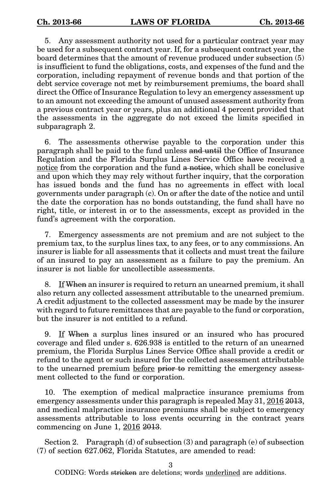5. Any assessment authority not used for a particular contract year may be used for a subsequent contract year. If, for a subsequent contract year, the board determines that the amount of revenue produced under subsection (5) is insufficient to fund the obligations, costs, and expenses of the fund and the corporation, including repayment of revenue bonds and that portion of the debt service coverage not met by reimbursement premiums, the board shall direct the Office of Insurance Regulation to levy an emergency assessment up to an amount not exceeding the amount of unused assessment authority from a previous contract year or years, plus an additional 4 percent provided that the assessments in the aggregate do not exceed the limits specified in subparagraph 2.

6. The assessments otherwise payable to the corporation under this paragraph shall be paid to the fund unless and until the Office of Insurance Regulation and the Florida Surplus Lines Service Office have received a notice from the corporation and the fund a notice, which shall be conclusive and upon which they may rely without further inquiry, that the corporation has issued bonds and the fund has no agreements in effect with local governments under paragraph (c). On or after the date of the notice and until the date the corporation has no bonds outstanding, the fund shall have no right, title, or interest in or to the assessments, except as provided in the fund's agreement with the corporation.

7. Emergency assessments are not premium and are not subject to the premium tax, to the surplus lines tax, to any fees, or to any commissions. An insurer is liable for all assessments that it collects and must treat the failure of an insured to pay an assessment as a failure to pay the premium. An insurer is not liable for uncollectible assessments.

8. If When an insurer is required to return an unearned premium, it shall also return any collected assessment attributable to the unearned premium. A credit adjustment to the collected assessment may be made by the insurer with regard to future remittances that are payable to the fund or corporation, but the insurer is not entitled to a refund.

9. If When a surplus lines insured or an insured who has procured coverage and filed under s. 626.938 is entitled to the return of an unearned premium, the Florida Surplus Lines Service Office shall provide a credit or refund to the agent or such insured for the collected assessment attributable to the unearned premium before prior to remitting the emergency assessment collected to the fund or corporation.

10. The exemption of medical malpractice insurance premiums from emergency assessments under this paragraph is repealed May 31, 2016 2013, and medical malpractice insurance premiums shall be subject to emergency assessments attributable to loss events occurring in the contract years commencing on June 1, 2016 2013.

Section 2. Paragraph (d) of subsection (3) and paragraph (e) of subsection (7) of section 627.062, Florida Statutes, are amended to read:

3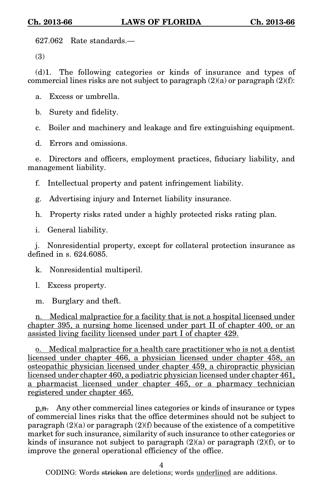627.062 Rate standards.—

(3)

(d)1. The following categories or kinds of insurance and types of commercial lines risks are not subject to paragraph  $(2)(a)$  or paragraph  $(2)(f)$ :

a. Excess or umbrella.

b. Surety and fidelity.

c. Boiler and machinery and leakage and fire extinguishing equipment.

d. Errors and omissions.

e. Directors and officers, employment practices, fiduciary liability, and management liability.

f. Intellectual property and patent infringement liability.

g. Advertising injury and Internet liability insurance.

h. Property risks rated under a highly protected risks rating plan.

i. General liability.

j. Nonresidential property, except for collateral protection insurance as defined in s. 624,6085

k. Nonresidential multiperil.

l. Excess property.

m. Burglary and theft.

n. Medical malpractice for a facility that is not a hospital licensed under chapter 395, a nursing home licensed under part II of chapter 400, or an assisted living facility licensed under part I of chapter 429.

o. Medical malpractice for a health care practitioner who is not a dentist licensed under chapter 466, a physician licensed under chapter 458, an osteopathic physician licensed under chapter 459, a chiropractic physician licensed under chapter 460, a podiatric physician licensed under chapter 461, a pharmacist licensed under chapter 465, or a pharmacy technician registered under chapter 465.

p.n. Any other commercial lines categories or kinds of insurance or types of commercial lines risks that the office determines should not be subject to paragraph  $(2)(a)$  or paragraph  $(2)(f)$  because of the existence of a competitive market for such insurance, similarity of such insurance to other categories or kinds of insurance not subject to paragraph  $(2)(a)$  or paragraph  $(2)(f)$ , or to improve the general operational efficiency of the office.

4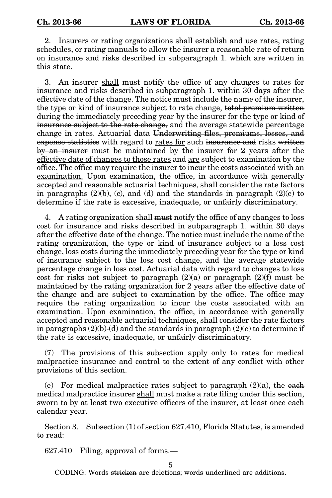2. Insurers or rating organizations shall establish and use rates, rating schedules, or rating manuals to allow the insurer a reasonable rate of return on insurance and risks described in subparagraph 1. which are written in this state.

3. An insurer shall must notify the office of any changes to rates for insurance and risks described in subparagraph 1. within 30 days after the effective date of the change. The notice must include the name of the insurer, the type or kind of insurance subject to rate change, total premium written during the immediately preceding year by the insurer for the type or kind of insurance subject to the rate change, and the average statewide percentage change in rates. Actuarial data Underwriting files, premiums, losses, and expense statistics with regard to rates for such insurance and risks written by an insurer must be maintained by the insurer for 2 years after the effective date of changes to those rates and are subject to examination by the office. The office may require the insurer to incur the costs associated with an examination. Upon examination, the office, in accordance with generally accepted and reasonable actuarial techniques, shall consider the rate factors in paragraphs  $(2)(b)$ , (c), and (d) and the standards in paragraph  $(2)(e)$  to determine if the rate is excessive, inadequate, or unfairly discriminatory.

4. A rating organization shall must notify the office of any changes to loss cost for insurance and risks described in subparagraph 1. within 30 days after the effective date of the change. The notice must include the name of the rating organization, the type or kind of insurance subject to a loss cost change, loss costs during the immediately preceding year for the type or kind of insurance subject to the loss cost change, and the average statewide percentage change in loss cost. Actuarial data with regard to changes to loss cost for risks not subject to paragraph  $(2)(a)$  or paragraph  $(2)(f)$  must be maintained by the rating organization for 2 years after the effective date of the change and are subject to examination by the office. The office may require the rating organization to incur the costs associated with an examination. Upon examination, the office, in accordance with generally accepted and reasonable actuarial techniques, shall consider the rate factors in paragraphs  $(2)(b)-(d)$  and the standards in paragraph  $(2)(e)$  to determine if the rate is excessive, inadequate, or unfairly discriminatory.

(7) The provisions of this subsection apply only to rates for medical malpractice insurance and control to the extent of any conflict with other provisions of this section.

(e) For medical malpractice rates subject to paragraph  $(2)(a)$ , the each medical malpractice insurer shall must make a rate filing under this section, sworn to by at least two executive officers of the insurer, at least once each calendar year.

Section 3. Subsection (1) of section 627.410, Florida Statutes, is amended to read:

627.410 Filing, approval of forms.—

5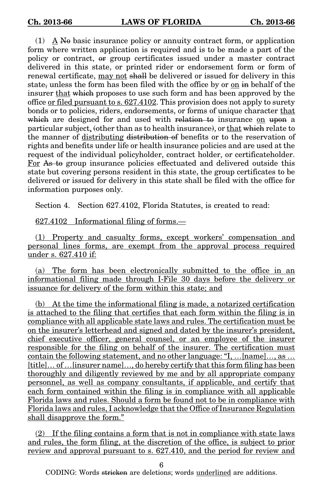$(1)$  A No basic insurance policy or annuity contract form, or application form where written application is required and is to be made a part of the policy or contract, or group certificates issued under a master contract delivered in this state, or printed rider or endorsement form or form of renewal certificate, may not shall be delivered or issued for delivery in this state, unless the form has been filed with the office by or on in behalf of the insurer that which proposes to use such form and has been approved by the office <u>or filed pursuant to s. 627.4102</u>. This provision does not apply to surety bonds or to policies, riders, endorsements, or forms of unique character that which are designed for and used with relation to insurance on upon a particular subject, (other than as to health insurance), or that which relate to the manner of distributing distribution of benefits or to the reservation of rights and benefits under life or health insurance policies and are used at the request of the individual policyholder, contract holder, or certificateholder. For As to group insurance policies effectuated and delivered outside this state but covering persons resident in this state, the group certificates to be delivered or issued for delivery in this state shall be filed with the office for information purposes only.

Section 4. Section 627.4102, Florida Statutes, is created to read:

627.4102 Informational filing of forms.—

(1) Property and casualty forms, except workers' compensation and personal lines forms, are exempt from the approval process required under s. 627.410 if:

(a) The form has been electronically submitted to the office in an informational filing made through I-File 30 days before the delivery or issuance for delivery of the form within this state; and

(b) At the time the informational filing is made, a notarized certification is attached to the filing that certifies that each form within the filing is in compliance with all applicable state laws and rules. The certification must be on the insurer's letterhead and signed and dated by the insurer's president, chief executive officer, general counsel, or an employee of the insurer responsible for the filing on behalf of the insurer. The certification must contain the following statement, and no other language: "I, …[name]…, as … [title]… of …[insurer name]…, do hereby certify that this form filing has been thoroughly and diligently reviewed by me and by all appropriate company personnel, as well as company consultants, if applicable, and certify that each form contained within the filing is in compliance with all applicable Florida laws and rules. Should a form be found not to be in compliance with Florida laws and rules, I acknowledge that the Office of Insurance Regulation shall disapprove the form."

(2) If the filing contains a form that is not in compliance with state laws and rules, the form filing, at the discretion of the office, is subject to prior review and approval pursuant to s. 627.410, and the period for review and

6